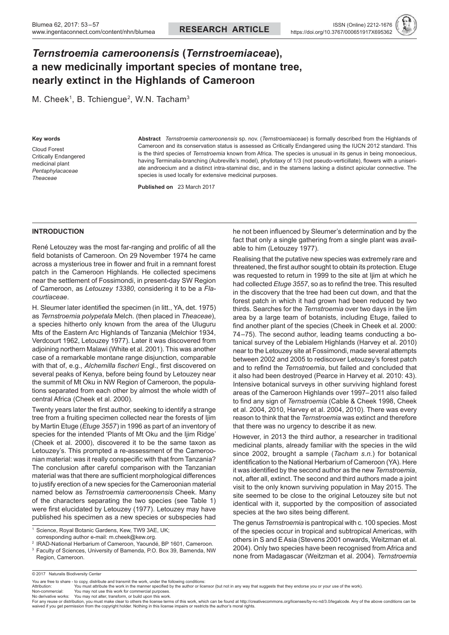# *Ternstroemia cameroonensis* **(***Ternstroemiaceae***), a new medicinally important species of montane tree, nearly extinct in the Highlands of Cameroon**

M. Cheek<sup>1</sup>, B. Tchiengue<sup>2</sup>, W.N. Tacham<sup>3</sup>

#### **Key words**

Cloud Forest Critically Endangered medicinal plant *Pentaphylacaceae Theaceae*

**Abstract** *Ternstroemia cameroonensis* sp. nov. (*Ternstroemiaceae*) is formally described from the Highlands of Cameroon and its conservation status is assessed as Critically Endangered using the IUCN 2012 standard. This is the third species of *Ternstroemia* known from Africa. The species is unusual in its genus in being monoecious, having Terminalia-branching (Aubreville's model), phyllotaxy of 1/3 (not pseudo-verticillate), flowers with a uniseriate androecium and a distinct intra-staminal disc, and in the stamens lacking a distinct apicular connective. The species is used locally for extensive medicinal purposes.

**Published on**   23 March 2017

#### **INTRODUCTION**

René Letouzey was the most far-ranging and prolific of all the field botanists of Cameroon. On 29 November 1974 he came across a mysterious tree in flower and fruit in a remnant forest patch in the Cameroon Highlands. He collected specimens near the settlement of Fossimondi, in present-day SW Region of Cameroon, as *Letouzey 13380*, considering it to be a *Flacourtiaceae*.

H. Sleumer later identified the specimen (in litt., YA, det. 1975) as *Ternstroemia polypetala* Melch. (then placed in *Theaceae*), a species hitherto only known from the area of the Uluguru Mts of the Eastern Arc Highlands of Tanzania (Melchior 1934, Verdcourt 1962, Letouzey 1977). Later it was discovered from adjoining northern Malawi (White et al. 2001). This was another case of a remarkable montane range disjunction, comparable with that of, e.g., *Alchemilla fischeri* Engl., first discovered on several peaks of Kenya, before being found by Letouzey near the summit of Mt Oku in NW Region of Cameroon, the populations separated from each other by almost the whole width of central Africa (Cheek et al. 2000).

Twenty years later the first author, seeking to identify a strange tree from a fruiting specimen collected near the forests of Ijim by Martin Etuge (*Etuge 3557*) in 1996 as part of an inventory of species for the intended 'Plants of Mt Oku and the Ijim Ridge' (Cheek et al. 2000), discovered it to be the same taxon as Letouzey's. This prompted a re-assessment of the Cameroonian material: was it really conspecific with that from Tanzania? The conclusion after careful comparison with the Tanzanian material was that there are sufficient morphological differences to justify erection of a new species for the Cameroonian material named below as *Ternstroemia cameroonensis* Cheek. Many of the characters separating the two species (see Table 1) were first elucidated by Letouzey (1977). Letouzey may have published his specimen as a new species or subspecies had

3 Faculty of Sciences, University of Bamenda, P.O. Box 39, Bamenda, NW

he not been influenced by Sleumer's determination and by the fact that only a single gathering from a single plant was available to him (Letouzey 1977).

Realising that the putative new species was extremely rare and threatened, the first author sought to obtain its protection. Etuge was requested to return in 1999 to the site at Ijim at which he had collected *Etuge 3557*, so as to refind the tree. This resulted in the discovery that the tree had been cut down, and that the forest patch in which it had grown had been reduced by two thirds. Searches for the *Ternstroemia* over two days in the Ijim area by a large team of botanists, including Etuge, failed to find another plant of the species (Cheek in Cheek et al. 2000: 74–75). The second author, leading teams conducting a botanical survey of the Lebialem Highlands (Harvey et al. 2010) near to the Letouzey site at Fossimondi, made several attempts between 2002 and 2005 to rediscover Letouzey's forest patch and to refind the *Ternstroemia*, but failed and concluded that it also had been destroyed (Pearce in Harvey et al. 2010: 43). Intensive botanical surveys in other surviving highland forest areas of the Cameroon Highlands over 1997–2011 also failed to find any sign of *Ternstroemia* (Cable & Cheek 1998, Cheek et al. 2004, 2010, Harvey et al. 2004, 2010). There was every reason to think that the *Ternstroemia* was extinct and therefore that there was no urgency to describe it as new.

However, in 2013 the third author, a researcher in traditional medicinal plants, already familiar with the species in the wild since 2002, brought a sample (*Tacham s.n.*) for botanical identification to the National Herbarium of Cameroon (YA). Here it was identified by the second author as the new *Ternstroemia*, not, after all, extinct. The second and third authors made a joint visit to the only known surviving population in May 2015. The site seemed to be close to the original Letouzey site but not identical with it, supported by the composition of associated species at the two sites being different.

The genus *Ternstroemia* is pantropical with c. 100 species. Most of the species occur in tropical and subtropical Americas, with others in S and EAsia (Stevens 2001 onwards, Weitzman et al. 2004). Only two species have been recognised from Africa and none from Madagascar (Weitzman et al. 2004). *Ternstroemia* 

Region, Cameroon.

<sup>1</sup> Science, Royal Botanic Gardens, Kew, TW9 3AE, UK; corresponding author e-mail: m.cheek@kew.org.

<sup>2</sup> IRAD-National Herbarium of Cameroon, Yaoundé, BP 1601, Cameroon.

<sup>© 2017</sup> Naturalis Biodiversity Center

You are free to share - to copy, distribute and transmit the work, under the following conditions:<br>Attribution: You must attribute the work in the manner specified by the author or licensor (but not in any way that suggest

Non-commercial: You may not use this work for commercial purposes.<br>No derivative works: You may not alter, transform, or build upon this work.<br>For any reuse or distribution, you must make clear to others the tlicense te waived if you get permission from the copyright holder. Nothing in this license impairs or restricts the author's moral rights.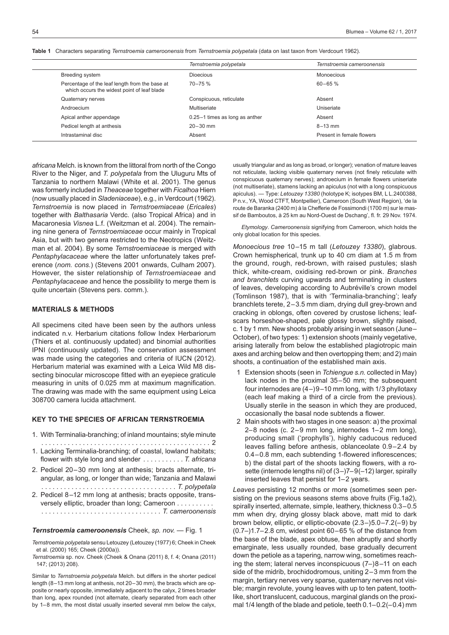**Table 1** Characters separating *Ternstroemia cameroonensis* from *Ternstroemia polypetala* (data on last taxon from Verdcourt 1962).

|                                                                                               | Ternstroemia polypetala        | Ternstroemia cameroonensis |
|-----------------------------------------------------------------------------------------------|--------------------------------|----------------------------|
| Breeding system                                                                               | <b>Dioecious</b>               | Monoecious                 |
| Percentage of the leaf length from the base at<br>which occurs the widest point of leaf blade | $70 - 75 \%$                   | $60 - 65$ %                |
| Quaternary nerves                                                                             | Conspicuous, reticulate        | Absent                     |
| Androecium                                                                                    | Multiseriate                   | Uniseriate                 |
| Apical anther appendage                                                                       | 0.25-1 times as long as anther | Absent                     |
| Pedicel length at anthesis                                                                    | $20 - 30$ mm                   | $8 - 13$ mm                |
| Intrastaminal disc                                                                            | Absent                         | Present in female flowers  |

*africana* Melch. is known from the littoral from north of the Congo River to the Niger, and *T. polypetala* from the Uluguru Mts of Tanzania to northern Malawi (White et al. 2001). The genus was formerly included in *Theaceae* together with *Ficalhoa* Hiern (now usually placed in *Sladeniaceae*), e.g., in Verdcourt (1962). *Ternstroemia* is now placed in *Ternstroemiaceae* (*Ericales*) together with *Balthasaria* Verdc. (also Tropical Africa) and in Macaronesia *Visnea* L.f. (Weitzman et al. 2004). The remaining nine genera of *Ternstroemiaceae* occur mainly in Tropical Asia, but with two genera restricted to the Neotropics (Weitzman et al. 2004). By some *Ternstroemiaceae* is merged with *Pentaphylacaceae* where the latter unfortunately takes preference (*nom. cons.*) (Stevens 2001 onwards, Culham 2007). However, the sister relationship of *Ternstroemiaceae* and *Pentaphylacaceae* and hence the possibility to merge them is quite uncertain (Stevens pers. comm.).

## **MATERIALS & METHODS**

All specimens cited have been seen by the authors unless indicated n.v. Herbarium citations follow Index Herbariorum (Thiers et al. continuously updated) and binomial authorities IPNI (continuously updated). The conservation assessment was made using the categories and criteria of IUCN (2012). Herbarium material was examined with a Leica Wild M8 dissecting binocular microscope fitted with an eyepiece graticule measuring in units of 0.025 mm at maximum magnification. The drawing was made with the same equipment using Leica 308700 camera lucida attachment.

### **KEY TO THE SPECIES OF AFRICAN TERNSTROEMIA**

- 1. With Terminalia-branching; of inland mountains; style minute . . 2
- 1. Lacking Terminalia-branching; of coastal, lowland habitats; flower with style long and slender . *T. africana*
- 2. Pedicel 20–30 mm long at anthesis; bracts alternate, triangular, as long, or longer than wide; Tanzania and Malawi . . *T. polypetala*
- 2. Pedicel 8–12 mm long at anthesis; bracts opposite, transversely elliptic, broader than long; Cameroon . . . . . . . . . . . . *T. cameroonensis*

#### *Ternstroemia cameroonensis* Cheek, *sp. nov.* — Fig. 1

*Ternstroemia polypetala* sensu Letouzey (Letouzey (1977) 6; Cheek in Cheek et al. (2000) 165; Cheek (2000a)).

*Ternstroemia* sp. nov. Cheek (Cheek & Onana (2011) 8, f. 4; Onana (2011) 147; (2013) 208).

Similar to *Ternstroemia polypetala* Melch. but differs in the shorter pedicel length (8–13 mm long at anthesis, not 20–30 mm), the bracts which are opposite or nearly opposite, immediately adjacent to the calyx, 2 times broader than long, apex rounded (not alternate, clearly separated from each other by 1–8 mm, the most distal usually inserted several mm below the calyx,

usually triangular and as long as broad, or longer); venation of mature leaves not reticulate, lacking visible quaternary nerves (not finely reticulate with conspicuous quaternary nerves); androecium in female flowers uniseriate (not multiseriate), stamens lacking an apiculus (not with a long conspicuous apiculus). — Type: *Letouzey 13380* (holotype K; isotypes BM, L L.2400388, P n.v., YA, Wood CTFT, Montpellier), Cameroon (South West Region), 'de la route de Baranka (2400 m) à la Chefferie de Fossimondi (1700 m) sur le massif de Bamboutos, à 25 km au Nord-Ouest de Dschang', fl. fr. 29 Nov. 1974.

 *Etymology*. *Cameroonensis* signifying from Cameroon, which holds the only global location for this species.

*Monoecious tree* 10–15 m tall (*Letouzey 13380*), glabrous. Crown hemispherical, trunk up to 40 cm diam at 1.5 m from the ground, rough, red-brown, with raised pustules; slash thick, white-cream, oxidising red-brown or pink. *Branches and branchlets* curving upwards and terminating in clusters of leaves, developing according to Aubréville's crown model (Tomlinson 1987), that is with 'Terminalia-branching'; leafy branchlets terete, 2–3.5 mm diam, drying dull grey-brown and cracking in oblongs, often covered by crustose lichens; leafscars horseshoe-shaped, pale glossy brown, slightly raised, c. 1 by 1 mm. New shoots probably arising in wet season (June– October), of two types: 1) extension shoots (mainly vegetative, arising laterally from below the established plagiotropic main axes and arching below and then overtopping them; and 2) main shoots, a continuation of the established main axis.

- 1 Extension shoots (seen in *Tchiengue s.n.* collected in May) lack nodes in the proximal 35–50 mm; the subsequent four internodes are (4–)9–10 mm long, with 1/3 phyllotaxy (each leaf making a third of a circle from the previous). Usually sterile in the season in which they are produced, occasionally the basal node subtends a flower.
- 2 Main shoots with two stages in one season: a) the proximal 2–8 nodes (c. 2–9 mm long, internodes 1–2 mm long), producing small ('prophylls'), highly caducous reduced leaves falling before anthesis, oblanceolate 0.9–2.4 by 0.4–0.8 mm, each subtending 1-flowered inflorescences; b) the distal part of the shoots lacking flowers, with a rosette (internode lengths nil) of (3–)7–9(–12) larger, spirally inserted leaves that persist for 1–2 years.

*Leaves* persisting 12 months or more (sometimes seen persisting on the previous seasons stems above fruits (Fig.1a2), spirally inserted, alternate, simple, leathery, thickness 0.3–0.5 mm when dry, drying glossy black above, matt mid to dark brown below, elliptic, or elliptic-obovate (2.3–)5.0–7.2(–9) by (0.7–)1.7–2.8 cm, widest point 60–65 % of the distance from the base of the blade, apex obtuse, then abruptly and shortly emarginate, less usually rounded, base gradually decurrent down the petiole as a tapering, narrow wing, sometimes reaching the stem; lateral nerves inconspicuous (7–)8–11 on each side of the midrib, brochidodromous, uniting 2–3 mm from the margin, tertiary nerves very sparse, quaternary nerves not visible; margin revolute, young leaves with up to ten patent, toothlike, short translucent, caducous, marginal glands on the proximal 1/4 length of the blade and petiole, teeth 0.1–0.2(–0.4) mm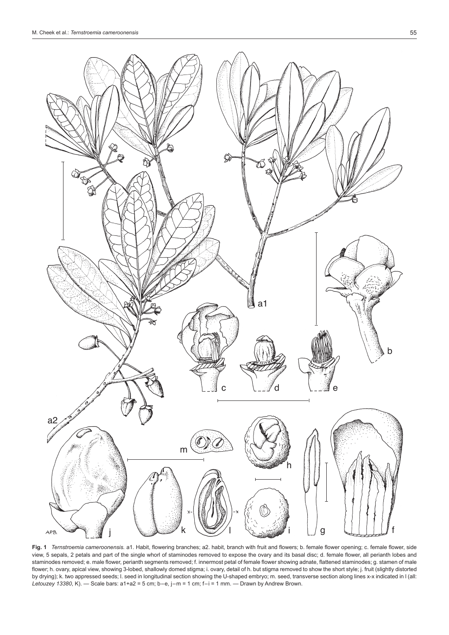

**Fig. 1** *Ternstroemia cameroonensis.* a1. Habit, flowering branches; a2. habit, branch with fruit and flowers; b. female flower opening; c. female flower, side view, 5 sepals, 2 petals and part of the single whorl of staminodes removed to expose the ovary and its basal disc; d. female flower, all perianth lobes and staminodes removed; e. male flower, perianth segments removed; f. innermost petal of female flower showing adnate, flattened staminodes; g. stamen of male flower; h. ovary, apical view, showing 3-lobed, shallowly domed stigma; i. ovary, detail of h. but stigma removed to show the short style; j. fruit (slightly distorted by drying); k. two appressed seeds; l. seed in longitudinal section showing the U-shaped embryo; m. seed, transverse section along lines x-x indicated in l (all: *Letouzey 13380*, K). — Scale bars: a1+a2 = 5 cm; b–e, j–m = 1 cm; f–i = 1 mm. — Drawn by Andrew Brown.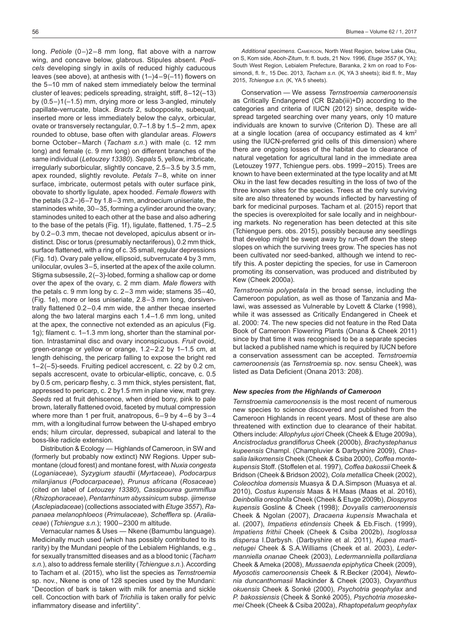long. *Petiole* (0–)2–8 mm long, flat above with a narrow wing, and concave below, glabrous. Stipules absent. *Pedicels* developing singly in axils of reduced highly caducous leaves (see above), at anthesis with (1–)4–9(–11) flowers on the 5–10 mm of naked stem immediately below the terminal cluster of leaves; pedicels spreading, straight, stiff, 8–12(–13) by (0.5–)1(–1.5) mm, drying more or less 3-angled, minutely papillate-verrucate, black. *Bracts* 2, subopposite, subequal, inserted more or less immediately below the calyx, orbicular, ovate or transversely rectangular, 0.7–1.8 by 1.5–2 mm, apex rounded to obtuse, base often with glandular areas. *Flowers* borne October–March (*Tacham s.n*.) with male (c. 12 mm long) and female (c. 9 mm long) on different branches of the same individual (*Letouzey 13380*). *Sepals* 5, yellow, imbricate, irregularly suborbicular, slightly concave, 2.5–3.5 by 3.5 mm, apex rounded, slightly revolute. *Petals* 7–8, white on inner surface, imbricate, outermost petals with outer surface pink, obovate to shortly ligulate, apex hooded. *Female flowers* with the petals (3.2–)6–7 by 1.8–3 mm, androecium uniseriate, the staminodes white, 30–35, forming a cylinder around the ovary; staminodes united to each other at the base and also adhering to the base of the petals (Fig. 1f), ligulate, flattened, 1.75–2.5 by 0.2–0.3 mm, thecae not developed, apiculus absent or indistinct. Disc or torus (presumably nectariferous), 0.2 mm thick, surface flattened, with a ring of c. 35 small, regular depressions (Fig. 1d). Ovary pale yellow, ellipsoid, subverrucate 4 by 3 mm, unilocular, ovules 3–5, inserted at the apex of the axile column. Stigma subsessile, 2(–3)-lobed, forming a shallow cap or dome over the apex of the ovary, c. 2 mm diam. *Male flowers* with the petals c. 9 mm long by c. 2–3 mm wide; stamens 35–40, (Fig. 1e), more or less uniseriate, 2.8–3 mm long, dorsiventrally flattened 0.2–0.4 mm wide, the anther thecae inserted along the two lateral margins each 1.4–1.6 mm long, united at the apex, the connective not extended as an apiculus (Fig. 1g); filament c. 1–1.3 mm long, shorter than the staminal portion. Intrastaminal disc and ovary inconspicuous. *Fruit* ovoid, green-orange or yellow or orange, 1.2–2.2 by 1–1.5 cm, at length dehiscing, the pericarp falling to expose the bright red 1–2(–5)-seeds. Fruiting pedicel accrescent, c. 22 by 0.2 cm, sepals accrescent, ovate to orbicular-elliptic, concave, c. 0.5 by 0.5 cm, pericarp fleshy, c. 3 mm thick, styles persistent, flat, appressed to pericarp, c. 2 by1.5 mm in plane view, matt grey. *Seeds* red at fruit dehiscence, when dried bony, pink to pale brown, laterally flattened ovoid, faceted by mutual compression where more than 1 per fruit, anatropous, 6–9 by 4–6 by 3–4 mm, with a longitudinal furrow between the U-shaped embryo ends; hilum circular, depressed, subapical and lateral to the boss-like radicle extension.

Distribution & Ecology — Highlands of Cameroon, in SW and (formerly but probably now extinct) NW Regions. Upper submontane (cloud forest) and montane forest, with *Nuxia congesta* (*Loganiaceae*), *Syzygium staudtii* (*Myrtaceae*), *Podocarpus milanjianus* (*Podocarpaceae*), *Prunus africana* (*Rosaceae*) (cited on label of *Letouzey 13380*), *Cassipourea gummiflua* (*Rhizophoraceae*), *Pentarrhinum abyssinicum* subsp. *ijimense* (*Asclepiadaceae*) (collections associated with *Etuge 3557*), *Rapanaea melanophloeos* (*Primulaceae*), *Schefflera* sp. (*Araliaceae*) (*Tchiengue s.n.*); 1900–2300 m altitude.

Vernacular names & Uses — Nkene (Bamumbu language). Medicinally much used (which has possibly contributed to its rarity) by the Mundani people of the Lebialem Highlands, e.g., for sexually transmitted diseases and as a blood tonic (*Tacham s.n.*), also to address female sterility (*Tchiengue s.n.*).According to Tacham et al. (2015), who list the species as *Ternstroemia* sp. nov., Nkene is one of 128 species used by the Mundani: "Decoction of bark is taken with milk for anemia and sickle cell. Concoction with bark of *Trichilia* is taken orally for pelvic inflammatory disease and infertility".

 *Additional specimens*. Cameroon, North West Region, below Lake Oku, on S, Kom side, Aboh-Zitum, fr. fl. buds, 21 Nov. 1996, *Etuge 3557* (K, YA); South West Region, Lebialem Prefecture, Baranka, 2 km on road to Fossimondi, fl. fr., 15 Dec. 2013, *Tacham s.n.* (K, YA 3 sheets); ibid fl. fr., May 2015, *Tchiengue s.n.* (K, YA 5 sheets).

 Conservation — We assess *Ternstroemia cameroonensis* as Critically Endangered (CR B2ab(iii)+D) according to the categories and criteria of IUCN (2012) since, despite widespread targeted searching over many years, only 10 mature individuals are known to survive (Criterion D). These are all at a single location (area of occupancy estimated as 4 km<sup>2</sup> using the IUCN-preferred grid cells of this dimension) where there are ongoing losses of the habitat due to clearance of natural vegetation for agricultural land in the immediate area (Letouzey 1977, Tchiengue pers. obs. 1999–2015). Trees are known to have been exterminated at the type locality and at Mt Oku in the last few decades resulting in the loss of two of the three known sites for the species. Trees at the only surviving site are also threatened by wounds inflected by harvesting of bark for medicinal purposes. Tacham et al. (2015) report that the species is overexploited for sale locally and in neighbouring markets. No regeneration has been detected at this site (Tchiengue pers. obs. 2015), possibly because any seedlings that develop might be swept away by run-off down the steep slopes on which the surviving trees grow. The species has not been cultivated nor seed-banked, although we intend to rectify this. A poster depicting the species, for use in Cameroon promoting its conservation, was produced and distributed by Kew (Cheek 2000a).

*Ternstroemia polypetala* in the broad sense, including the Cameroon population, as well as those of Tanzania and Malawi, was assessed as Vulnerable by Lovett & Clarke (1998), while it was assessed as Critically Endangered in Cheek et al. 2000: 74. The new species did not feature in the Red Data Book of Cameroon Flowering Plants (Onana & Cheek 2011) since by that time it was recognised to be a separate species but lacked a published name which is required by IUCN before a conservation assessment can be accepted. *Ternstroemia cameroonensis* (as *Ternstroemia* sp. nov. sensu Cheek), was listed as Data Deficient (Onana 2013: 208).

#### *New species from the Highlands of Cameroon*

*Ternstroemia cameroonensis* is the most recent of numerous new species to science discovered and published from the Cameroon Highlands in recent years. Most of these are also threatened with extinction due to clearance of their habitat. Others include: *Allophylus ujori* Cheek (Cheek & Etuge 2009a), *Ancistrocladus grandiflorus* Cheek (2000b), *Brachystephanus kupeensis* Champl. (Champluvier & Darbyshire 2009), *Chassalia laikomensis* Cheek (Cheek & Csiba 2000), *Coffea montekupensis* Stoff. (Stoffelen et al. 1997), *Coffea bakossii* Cheek & Bridson (Cheek & Bridson 2002), *Cola metallica* Cheek (2002), *Coleochloa domensis* Muasya & D.A.Simpson (Muasya et al. 2010), *Costus kupensis* Maas & H.Maas (Maas et al. 2016), *Deinbollia oreophila* Cheek (Cheek & Etuge 2009b), *Diospyros kupensis* Gosline & Cheek (1998); *Dovyalis cameroonensis*  Cheek & Ngolan (2007), *Dracaena kupensis* Mwachala et al. (2007), *Impatiens etindensis* Cheek & Eb.Fisch. (1999), *Impatiens frithii* Cheek (Cheek & Csiba 2002b), *Isoglossa dispersa* I.Darbysh. (Darbyshire et al. 2011), *Kupea martinetugei* Cheek & S.A.Williams (Cheek et al. 2003), *Ledermanniella onanae* Cheek (2003), *Ledermanniella pollardiana*  Cheek & Ameka (2008), *Mussaenda epiphytica* Cheek (2009), *Myosotis cameroonensis* Cheek & R.Becker (2004), *Newtonia duncanthomasii* Mackinder & Cheek (2003), *Oxyanthus okuensis* Cheek & Sonké (2000), *Psychotria geophylax* and *P. bakossiensis* (Cheek & Sonké 2005), *Psychotria moseskemei* Cheek (Cheek & Csiba 2002a), *Rhaptopetalum geophylax*